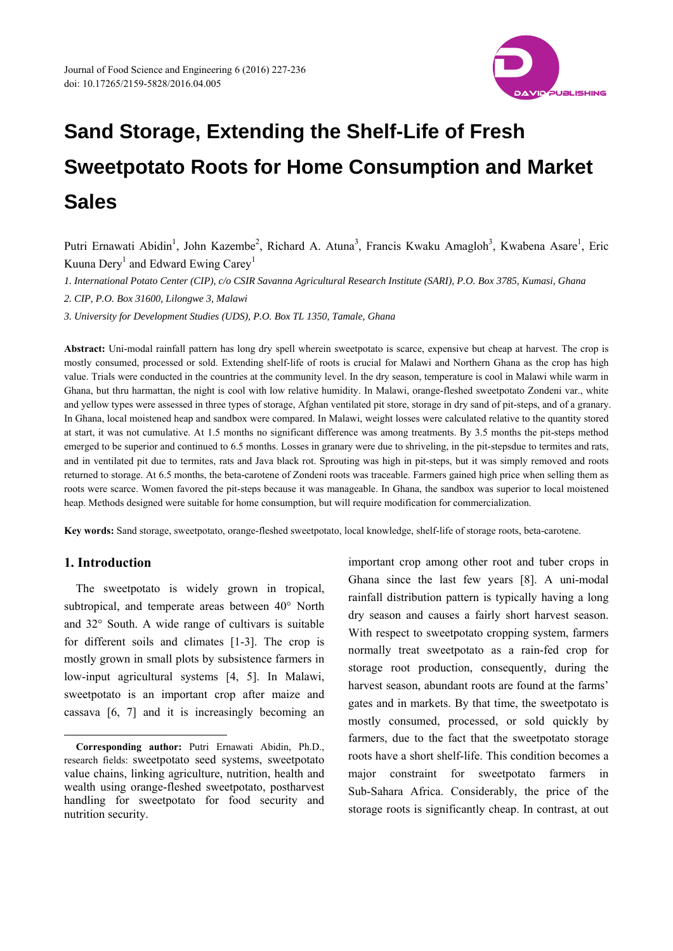

Putri Ernawati Abidin<sup>1</sup>, John Kazembe<sup>2</sup>, Richard A. Atuna<sup>3</sup>, Francis Kwaku Amagloh<sup>3</sup>, Kwabena Asare<sup>1</sup>, Eric Kuuna  $\text{Dery}^1$  and Edward Ewing  $\text{Carey}^1$ 

*1. International Potato Center (CIP), c/o CSIR Savanna Agricultural Research Institute (SARI), P.O. Box 3785, Kumasi, Ghana* 

*2. CIP, P.O. Box 31600, Lilongwe 3, Malawi* 

*3. University for Development Studies (UDS), P.O. Box TL 1350, Tamale, Ghana* 

**Abstract:** Uni-modal rainfall pattern has long dry spell wherein sweetpotato is scarce, expensive but cheap at harvest. The crop is mostly consumed, processed or sold. Extending shelf-life of roots is crucial for Malawi and Northern Ghana as the crop has high value. Trials were conducted in the countries at the community level. In the dry season, temperature is cool in Malawi while warm in Ghana, but thru harmattan, the night is cool with low relative humidity. In Malawi, orange-fleshed sweetpotato Zondeni var., white and yellow types were assessed in three types of storage, Afghan ventilated pit store, storage in dry sand of pit-steps, and of a granary. In Ghana, local moistened heap and sandbox were compared. In Malawi, weight losses were calculated relative to the quantity stored at start, it was not cumulative. At 1.5 months no significant difference was among treatments. By 3.5 months the pit-steps method emerged to be superior and continued to 6.5 months. Losses in granary were due to shriveling, in the pit-stepsdue to termites and rats, and in ventilated pit due to termites, rats and Java black rot. Sprouting was high in pit-steps, but it was simply removed and roots returned to storage. At 6.5 months, the beta-carotene of Zondeni roots was traceable. Farmers gained high price when selling them as roots were scarce. Women favored the pit-steps because it was manageable. In Ghana, the sandbox was superior to local moistened heap. Methods designed were suitable for home consumption, but will require modification for commercialization.

**Key words:** Sand storage, sweetpotato, orange-fleshed sweetpotato, local knowledge, shelf-life of storage roots, beta-carotene.

# **1. Introduction**

 $\overline{a}$ 

The sweetpotato is widely grown in tropical, subtropical, and temperate areas between 40° North and 32° South. A wide range of cultivars is suitable for different soils and climates [1-3]. The crop is mostly grown in small plots by subsistence farmers in low-input agricultural systems [4, 5]. In Malawi, sweetpotato is an important crop after maize and cassava [6, 7] and it is increasingly becoming an important crop among other root and tuber crops in Ghana since the last few years [8]. A uni-modal rainfall distribution pattern is typically having a long dry season and causes a fairly short harvest season. With respect to sweetpotato cropping system, farmers normally treat sweetpotato as a rain-fed crop for storage root production, consequently, during the harvest season, abundant roots are found at the farms' gates and in markets. By that time, the sweetpotato is mostly consumed, processed, or sold quickly by farmers, due to the fact that the sweetpotato storage roots have a short shelf-life. This condition becomes a major constraint for sweetpotato farmers in Sub-Sahara Africa. Considerably, the price of the storage roots is significantly cheap. In contrast, at out

**Corresponding author:** Putri Ernawati Abidin, Ph.D., research fields: sweetpotato seed systems, sweetpotato value chains, linking agriculture, nutrition, health and wealth using orange-fleshed sweetpotato, postharvest handling for sweetpotato for food security and nutrition security.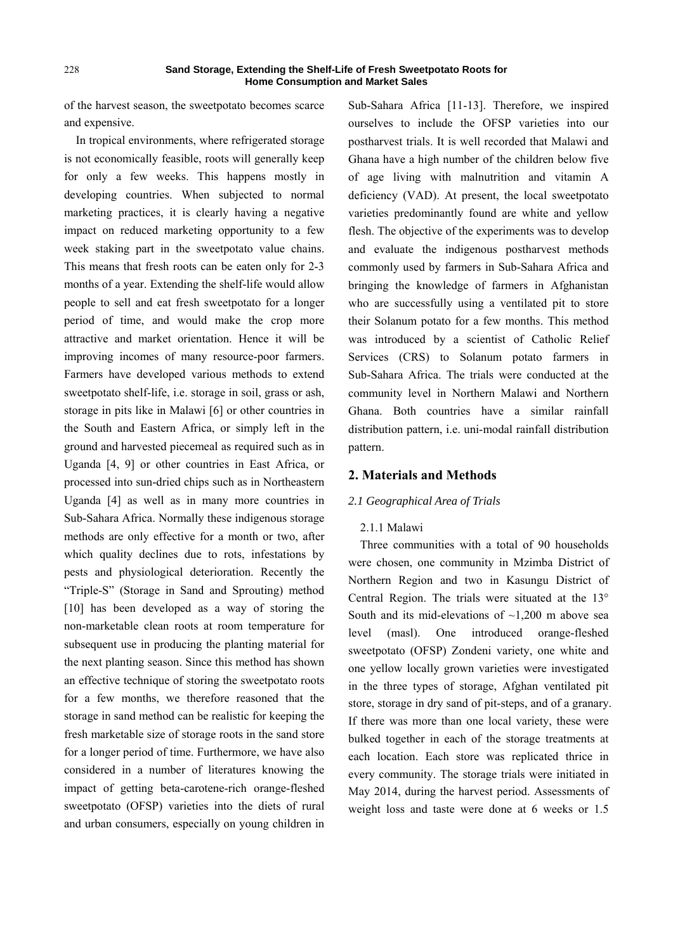of the harvest season, the sweetpotato becomes scarce and expensive.

In tropical environments, where refrigerated storage is not economically feasible, roots will generally keep for only a few weeks. This happens mostly in developing countries. When subjected to normal marketing practices, it is clearly having a negative impact on reduced marketing opportunity to a few week staking part in the sweetpotato value chains. This means that fresh roots can be eaten only for 2-3 months of a year. Extending the shelf-life would allow people to sell and eat fresh sweetpotato for a longer period of time, and would make the crop more attractive and market orientation. Hence it will be improving incomes of many resource-poor farmers. Farmers have developed various methods to extend sweetpotato shelf-life, i.e. storage in soil, grass or ash, storage in pits like in Malawi [6] or other countries in the South and Eastern Africa, or simply left in the ground and harvested piecemeal as required such as in Uganda [4, 9] or other countries in East Africa, or processed into sun-dried chips such as in Northeastern Uganda [4] as well as in many more countries in Sub-Sahara Africa. Normally these indigenous storage methods are only effective for a month or two, after which quality declines due to rots, infestations by pests and physiological deterioration. Recently the "Triple-S" (Storage in Sand and Sprouting) method [10] has been developed as a way of storing the non-marketable clean roots at room temperature for subsequent use in producing the planting material for the next planting season. Since this method has shown an effective technique of storing the sweetpotato roots for a few months, we therefore reasoned that the storage in sand method can be realistic for keeping the fresh marketable size of storage roots in the sand store for a longer period of time. Furthermore, we have also considered in a number of literatures knowing the impact of getting beta-carotene-rich orange-fleshed sweetpotato (OFSP) varieties into the diets of rural and urban consumers, especially on young children in

Sub-Sahara Africa [11-13]. Therefore, we inspired ourselves to include the OFSP varieties into our postharvest trials. It is well recorded that Malawi and Ghana have a high number of the children below five of age living with malnutrition and vitamin A deficiency (VAD). At present, the local sweetpotato varieties predominantly found are white and yellow flesh. The objective of the experiments was to develop and evaluate the indigenous postharvest methods commonly used by farmers in Sub-Sahara Africa and bringing the knowledge of farmers in Afghanistan who are successfully using a ventilated pit to store their Solanum potato for a few months. This method was introduced by a scientist of Catholic Relief Services (CRS) to Solanum potato farmers in Sub-Sahara Africa. The trials were conducted at the community level in Northern Malawi and Northern Ghana. Both countries have a similar rainfall distribution pattern, i.e. uni-modal rainfall distribution pattern.

## **2. Materials and Methods**

## *2.1 Geographical Area of Trials*

# 2.1.1 Malawi

Three communities with a total of 90 households were chosen, one community in Mzimba District of Northern Region and two in Kasungu District of Central Region. The trials were situated at the 13° South and its mid-elevations of  $\sim$ 1,200 m above sea level (masl). One introduced orange-fleshed sweetpotato (OFSP) Zondeni variety, one white and one yellow locally grown varieties were investigated in the three types of storage, Afghan ventilated pit store, storage in dry sand of pit-steps, and of a granary. If there was more than one local variety, these were bulked together in each of the storage treatments at each location. Each store was replicated thrice in every community. The storage trials were initiated in May 2014, during the harvest period. Assessments of weight loss and taste were done at 6 weeks or 1.5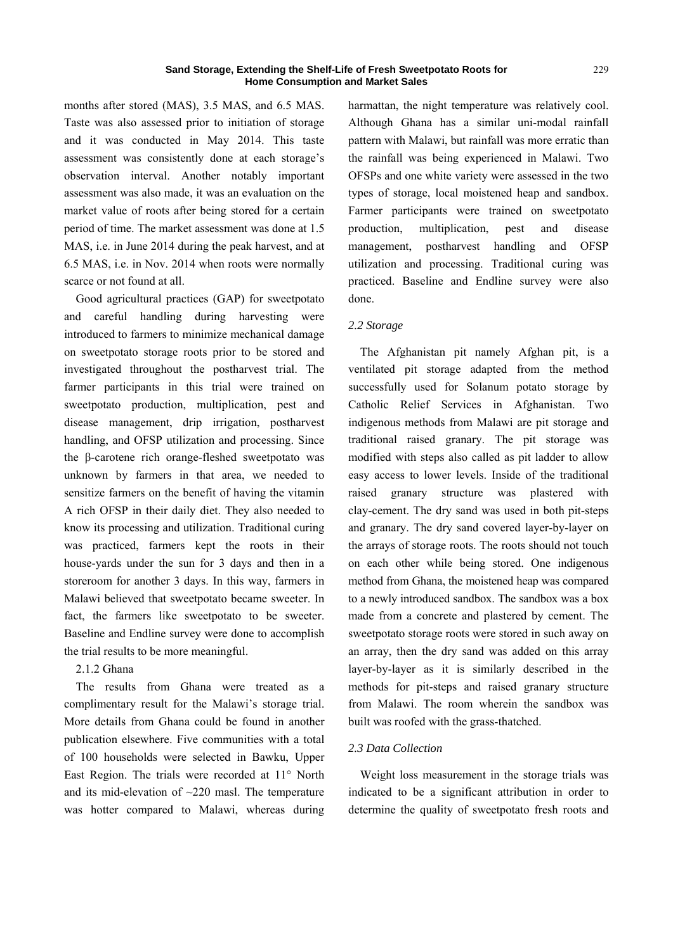months after stored (MAS), 3.5 MAS, and 6.5 MAS. Taste was also assessed prior to initiation of storage and it was conducted in May 2014. This taste assessment was consistently done at each storage's observation interval. Another notably important assessment was also made, it was an evaluation on the market value of roots after being stored for a certain period of time. The market assessment was done at 1.5 MAS, i.e. in June 2014 during the peak harvest, and at 6.5 MAS, i.e. in Nov. 2014 when roots were normally scarce or not found at all.

Good agricultural practices (GAP) for sweetpotato and careful handling during harvesting were introduced to farmers to minimize mechanical damage on sweetpotato storage roots prior to be stored and investigated throughout the postharvest trial. The farmer participants in this trial were trained on sweetpotato production, multiplication, pest and disease management, drip irrigation, postharvest handling, and OFSP utilization and processing. Since the β-carotene rich orange-fleshed sweetpotato was unknown by farmers in that area, we needed to sensitize farmers on the benefit of having the vitamin A rich OFSP in their daily diet. They also needed to know its processing and utilization. Traditional curing was practiced, farmers kept the roots in their house-yards under the sun for 3 days and then in a storeroom for another 3 days. In this way, farmers in Malawi believed that sweetpotato became sweeter. In fact, the farmers like sweetpotato to be sweeter. Baseline and Endline survey were done to accomplish the trial results to be more meaningful.

# 2.1.2 Ghana

The results from Ghana were treated as a complimentary result for the Malawi's storage trial. More details from Ghana could be found in another publication elsewhere. Five communities with a total of 100 households were selected in Bawku, Upper East Region. The trials were recorded at 11° North and its mid-elevation of ~220 masl. The temperature was hotter compared to Malawi, whereas during harmattan, the night temperature was relatively cool. Although Ghana has a similar uni-modal rainfall pattern with Malawi, but rainfall was more erratic than the rainfall was being experienced in Malawi. Two OFSPs and one white variety were assessed in the two types of storage, local moistened heap and sandbox. Farmer participants were trained on sweetpotato production, multiplication, pest and disease management, postharvest handling and OFSP utilization and processing. Traditional curing was practiced. Baseline and Endline survey were also done.

# *2.2 Storage*

The Afghanistan pit namely Afghan pit, is a ventilated pit storage adapted from the method successfully used for Solanum potato storage by Catholic Relief Services in Afghanistan. Two indigenous methods from Malawi are pit storage and traditional raised granary. The pit storage was modified with steps also called as pit ladder to allow easy access to lower levels. Inside of the traditional raised granary structure was plastered with clay-cement. The dry sand was used in both pit-steps and granary. The dry sand covered layer-by-layer on the arrays of storage roots. The roots should not touch on each other while being stored. One indigenous method from Ghana, the moistened heap was compared to a newly introduced sandbox. The sandbox was a box made from a concrete and plastered by cement. The sweetpotato storage roots were stored in such away on an array, then the dry sand was added on this array layer-by-layer as it is similarly described in the methods for pit-steps and raised granary structure from Malawi. The room wherein the sandbox was built was roofed with the grass-thatched.

## *2.3 Data Collection*

Weight loss measurement in the storage trials was indicated to be a significant attribution in order to determine the quality of sweetpotato fresh roots and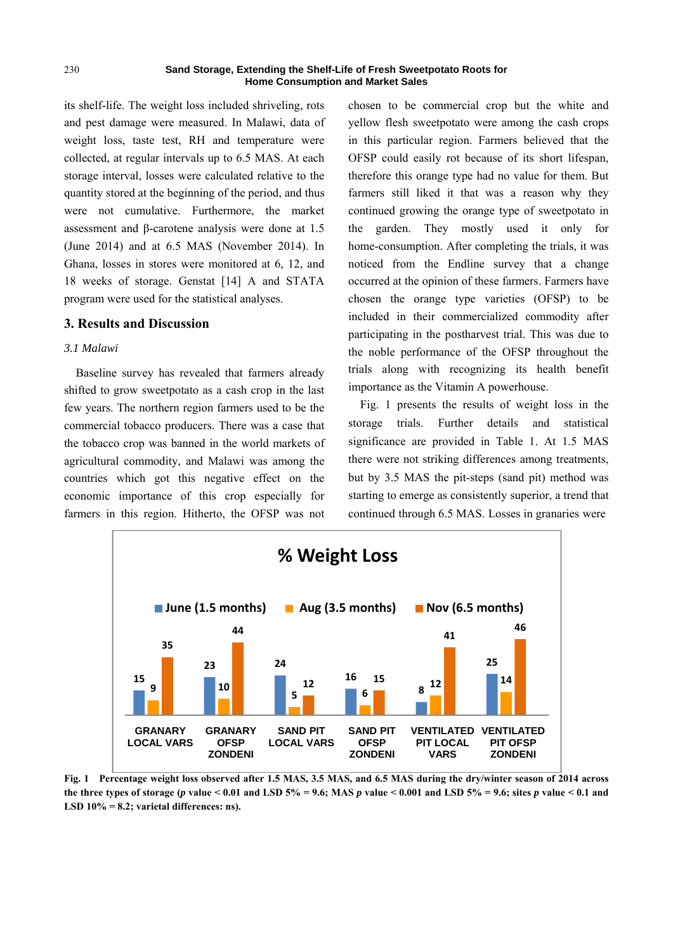its shelf-life. The weight loss included shriveling, rots and pest damage were measured. In Malawi, data of weight loss, taste test, RH and temperature were collected, at regular intervals up to 6.5 MAS. At each storage interval, losses were calculated relative to the quantity stored at the beginning of the period, and thus were not cumulative. Furthermore, the market assessment and β-carotene analysis were done at 1.5 (June 2014) and at 6.5 MAS (November 2014). In Ghana, losses in stores were monitored at 6, 12, and 18 weeks of storage. Genstat [14] A and STATA program were used for the statistical analyses.

## **3. Results and Discussion**

## *3.1 Malawi*

Baseline survey has revealed that farmers already shifted to grow sweetpotato as a cash crop in the last few years. The northern region farmers used to be the commercial tobacco producers. There was a case that the tobacco crop was banned in the world markets of agricultural commodity, and Malawi was among the countries which got this negative effect on the economic importance of this crop especially for farmers in this region. Hitherto, the OFSP was not

chosen to be commercial crop but the white and yellow flesh sweetpotato were among the cash crops in this particular region. Farmers believed that the OFSP could easily rot because of its short lifespan, therefore this orange type had no value for them. But farmers still liked it that was a reason why they continued growing the orange type of sweetpotato in the garden. They mostly used it only for home-consumption. After completing the trials, it was noticed from the Endline survey that a change occurred at the opinion of these farmers. Farmers have chosen the orange type varieties (OFSP) to be included in their commercialized commodity after participating in the postharvest trial. This was due to the noble performance of the OFSP throughout the trials along with recognizing its health benefit importance as the Vitamin A powerhouse.

Fig. 1 presents the results of weight loss in the storage trials. Further details and statistical significance are provided in Table 1. At 1.5 MAS there were not striking differences among treatments, but by 3.5 MAS the pit-steps (sand pit) method was starting to emerge as consistently superior, a trend that continued through 6.5 MAS. Losses in granaries were



**Fig. 1 Percentage weight loss observed after 1.5 MAS, 3.5 MAS, and 6.5 MAS during the dry/winter season of 2014 across**  the three types of storage (*p* value < 0.01 and LSD  $5\% = 9.6$ ; MAS *p* value < 0.001 and LSD  $5\% = 9.6$ ; sites *p* value < 0.1 and **LSD 10% = 8.2; varietal differences: ns).**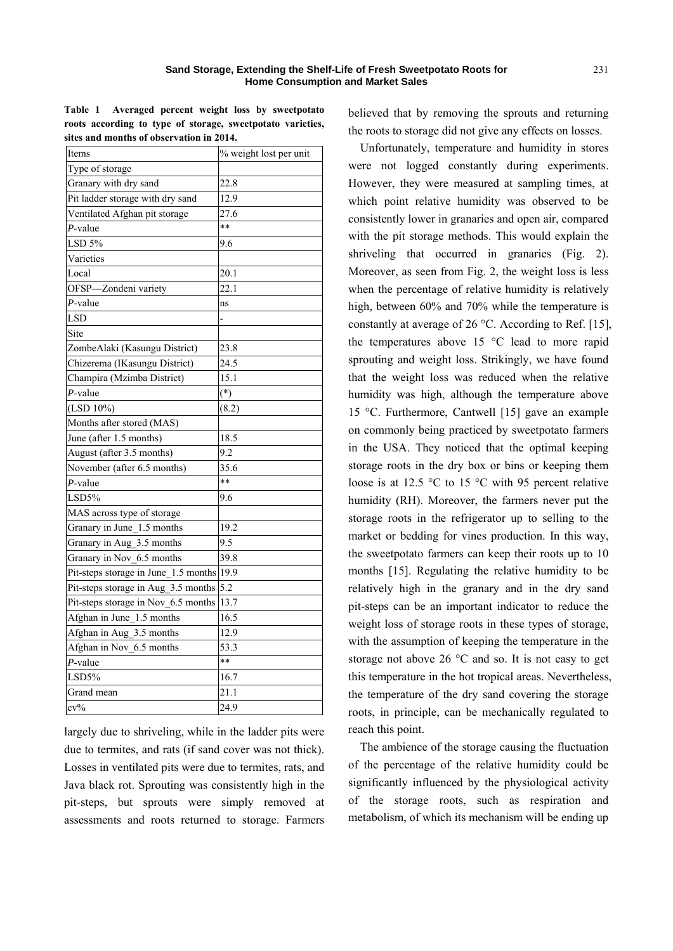**Table 1 Averaged percent weight loss by sweetpotato roots according to type of storage, sweetpotato varieties, sites and months of observation in 2014.** 

| Items                                     | % weight lost per unit |
|-------------------------------------------|------------------------|
| Type of storage                           |                        |
| Granary with dry sand                     | 22.8                   |
| Pit ladder storage with dry sand          | 12.9                   |
| Ventilated Afghan pit storage             | 27.6                   |
| $P$ -value                                | **                     |
| $LSD$ 5%                                  | 9.6                    |
| Varieties                                 |                        |
| Local                                     | 20.1                   |
| OFSP-Zondeni variety                      | 22.1                   |
| $P$ -value                                | ns                     |
| <b>LSD</b>                                |                        |
| Site                                      |                        |
| ZombeAlaki (Kasungu District)             | 23.8                   |
| Chizerema (IKasungu District)             | 24.5                   |
| Champira (Mzimba District)                | 15.1                   |
| $P$ -value                                | $(*)$                  |
| $(LSD 10\%)$                              | (8.2)                  |
| Months after stored (MAS)                 |                        |
| June (after 1.5 months)                   | 18.5                   |
| August (after 3.5 months)                 | 9.2                    |
| November (after 6.5 months)               | 35.6                   |
| $P$ -value                                | $**$                   |
| LSD5%                                     | 9.6                    |
| MAS across type of storage                |                        |
| Granary in June_1.5 months                | 19.2                   |
| Granary in Aug_3.5 months                 | 9.5                    |
| Granary in Nov_6.5 months                 | 39.8                   |
| Pit-steps storage in June_1.5 months 19.9 |                        |
| Pit-steps storage in Aug_3.5 months       | 5.2                    |
| Pit-steps storage in Nov_6.5 months       | 13.7                   |
| Afghan in June_1.5 months                 | 16.5                   |
| Afghan in Aug 3.5 months                  | 12.9                   |
| Afghan in Nov_6.5 months                  | 53.3                   |
| P-value                                   | $**$                   |
| LSD5%                                     | 16.7                   |
| Grand mean                                | 21.1                   |
| $cv\%$                                    | 24.9                   |

largely due to shriveling, while in the ladder pits were due to termites, and rats (if sand cover was not thick). Losses in ventilated pits were due to termites, rats, and Java black rot. Sprouting was consistently high in the pit-steps, but sprouts were simply removed at assessments and roots returned to storage. Farmers believed that by removing the sprouts and returning the roots to storage did not give any effects on losses.

Unfortunately, temperature and humidity in stores were not logged constantly during experiments. However, they were measured at sampling times, at which point relative humidity was observed to be consistently lower in granaries and open air, compared with the pit storage methods. This would explain the shriveling that occurred in granaries (Fig. 2). Moreover, as seen from Fig. 2, the weight loss is less when the percentage of relative humidity is relatively high, between 60% and 70% while the temperature is constantly at average of 26 °C. According to Ref. [15], the temperatures above 15 °C lead to more rapid sprouting and weight loss. Strikingly, we have found that the weight loss was reduced when the relative humidity was high, although the temperature above 15 °C. Furthermore, Cantwell [15] gave an example on commonly being practiced by sweetpotato farmers in the USA. They noticed that the optimal keeping storage roots in the dry box or bins or keeping them loose is at 12.5 °C to 15 °C with 95 percent relative humidity (RH). Moreover, the farmers never put the storage roots in the refrigerator up to selling to the market or bedding for vines production. In this way, the sweetpotato farmers can keep their roots up to 10 months [15]. Regulating the relative humidity to be relatively high in the granary and in the dry sand pit-steps can be an important indicator to reduce the weight loss of storage roots in these types of storage, with the assumption of keeping the temperature in the storage not above 26 °C and so. It is not easy to get this temperature in the hot tropical areas. Nevertheless, the temperature of the dry sand covering the storage roots, in principle, can be mechanically regulated to reach this point.

The ambience of the storage causing the fluctuation of the percentage of the relative humidity could be significantly influenced by the physiological activity of the storage roots, such as respiration and metabolism, of which its mechanism will be ending up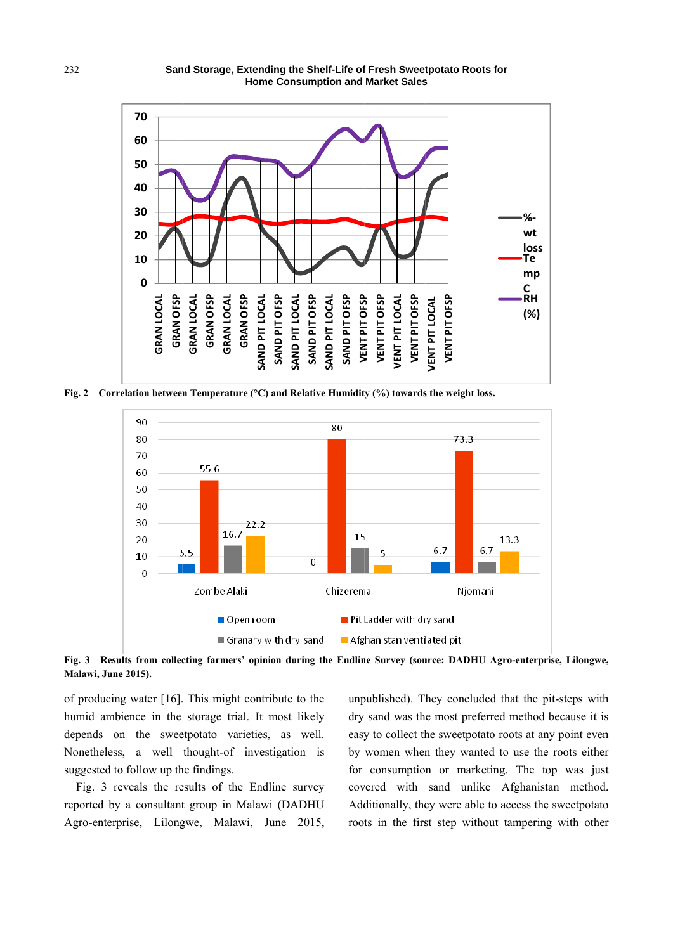

Fig. 2 Correlation between Temperature (°C) and Relative Humidity (%) towards the weight loss.



Fig. 3 Results from collecting farmers' opinion during the Endline Survey (source: DADHU Agro-enterprise, Lilongwe, Malawi, June 2015).

of producing water  $[16]$ . This might contribute to the humid ambience in the storage trial. It most likely depends on the sweetpotato varieties, as well. Nonetheless, a well thought-of investigation is suggested to follow up the findings.

Fig. 3 reveals the results of the Endline survey reported by a consultant group in Malawi (DADHU Agro-enterprise, Lilongwe, Malawi, June 2015, unpublished). They concluded that the pit-steps with dry sand was the most preferred method because it is easy to collect the sweetpotato roots at any point even by women when they wanted to use the roots either for consumption or marketing. The top was just covered with sand unlike Afghanistan method. Additionally, they were able to access the sweetpotato roots in the first step without tampering with other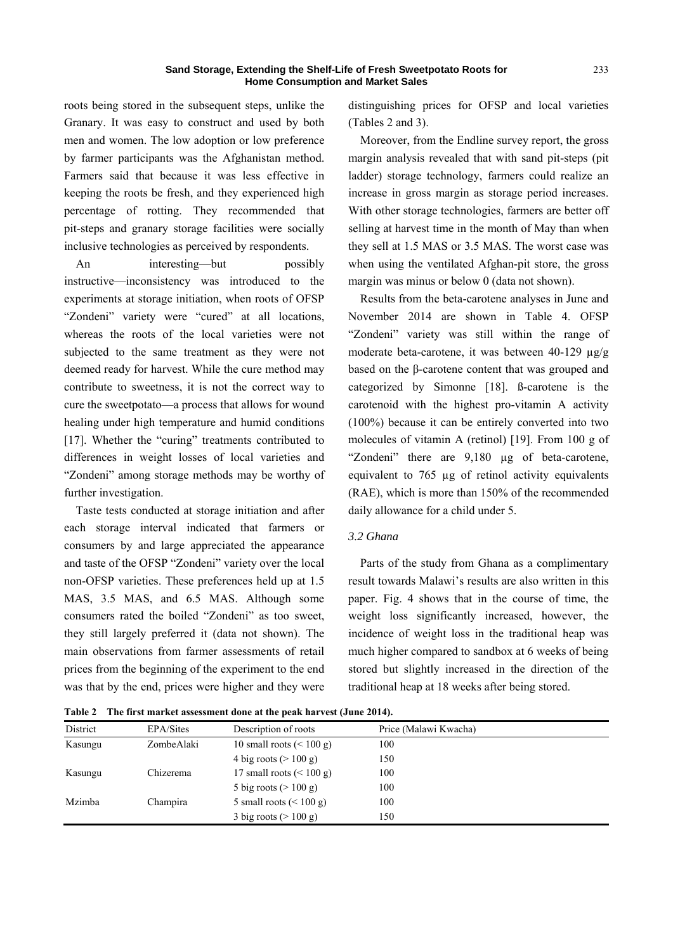roots being stored in the subsequent steps, unlike the Granary. It was easy to construct and used by both men and women. The low adoption or low preference by farmer participants was the Afghanistan method. Farmers said that because it was less effective in keeping the roots be fresh, and they experienced high percentage of rotting. They recommended that pit-steps and granary storage facilities were socially inclusive technologies as perceived by respondents.

An interesting—but possibly instructive—inconsistency was introduced to the experiments at storage initiation, when roots of OFSP "Zondeni" variety were "cured" at all locations, whereas the roots of the local varieties were not subjected to the same treatment as they were not deemed ready for harvest. While the cure method may contribute to sweetness, it is not the correct way to cure the sweetpotato—a process that allows for wound healing under high temperature and humid conditions [17]. Whether the "curing" treatments contributed to differences in weight losses of local varieties and "Zondeni" among storage methods may be worthy of further investigation.

Taste tests conducted at storage initiation and after each storage interval indicated that farmers or consumers by and large appreciated the appearance and taste of the OFSP "Zondeni" variety over the local non-OFSP varieties. These preferences held up at 1.5 MAS, 3.5 MAS, and 6.5 MAS. Although some consumers rated the boiled "Zondeni" as too sweet, they still largely preferred it (data not shown). The main observations from farmer assessments of retail prices from the beginning of the experiment to the end was that by the end, prices were higher and they were

distinguishing prices for OFSP and local varieties (Tables 2 and 3).

Moreover, from the Endline survey report, the gross margin analysis revealed that with sand pit-steps (pit ladder) storage technology, farmers could realize an increase in gross margin as storage period increases. With other storage technologies, farmers are better off selling at harvest time in the month of May than when they sell at 1.5 MAS or 3.5 MAS. The worst case was when using the ventilated Afghan-pit store, the gross margin was minus or below 0 (data not shown).

Results from the beta-carotene analyses in June and November 2014 are shown in Table 4. OFSP "Zondeni" variety was still within the range of moderate beta-carotene, it was between 40-129 µg/g based on the β-carotene content that was grouped and categorized by Simonne [18]. ß-carotene is the carotenoid with the highest pro-vitamin A activity (100%) because it can be entirely converted into two molecules of vitamin A (retinol) [19]. From 100 g of "Zondeni" there are 9,180 µg of beta-carotene, equivalent to 765 µg of retinol activity equivalents (RAE), which is more than 150% of the recommended daily allowance for a child under 5.

## *3.2 Ghana*

Parts of the study from Ghana as a complimentary result towards Malawi's results are also written in this paper. Fig. 4 shows that in the course of time, the weight loss significantly increased, however, the incidence of weight loss in the traditional heap was much higher compared to sandbox at 6 weeks of being stored but slightly increased in the direction of the traditional heap at 18 weeks after being stored.

**Table 2 The first market assessment done at the peak harvest (June 2014).** 

| District | EPA/Sites  | Description of roots               | Price (Malawi Kwacha) |
|----------|------------|------------------------------------|-----------------------|
| Kasungu  | ZombeAlaki | 10 small roots $(< 100 \text{ g})$ | 100                   |
|          |            | 4 big roots $(>100 \text{ g})$     | 150                   |
| Kasungu  | Chizerema  | 17 small roots $(< 100$ g)         | 100                   |
|          |            | 5 big roots $(>100 \text{ g})$     | 100                   |
| Mzimba   | Champira   | 5 small roots $(< 100$ g)          | 100                   |
|          |            | 3 big roots $(>100 \text{ g})$     | 150                   |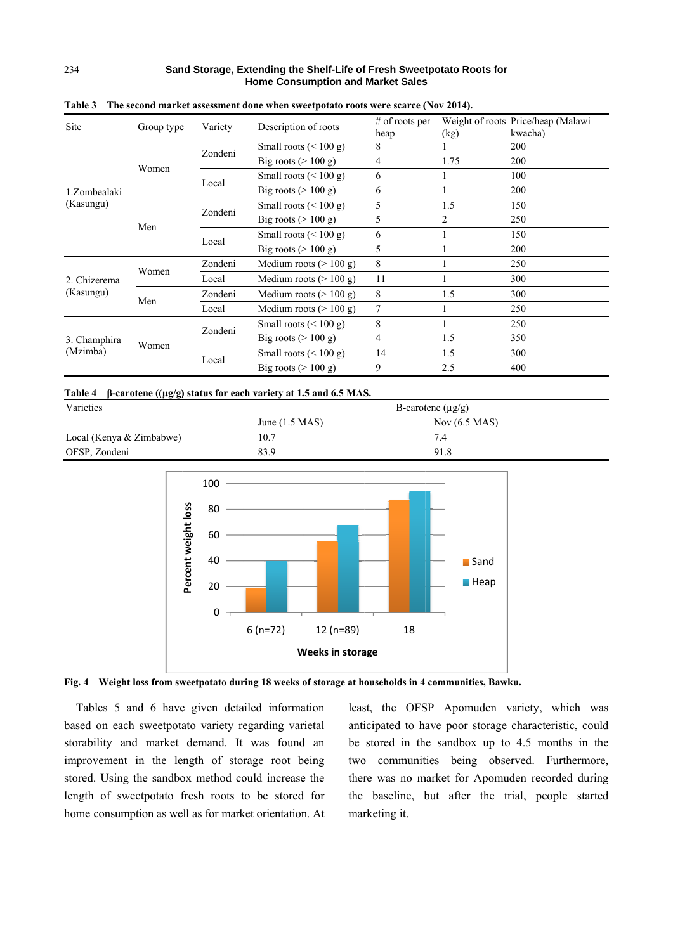| Site                      | Group type | Variety | Description of roots            | $#$ of roots per<br>heap | (kg) | Weight of roots Price/heap (Malawi<br>kwacha) |
|---------------------------|------------|---------|---------------------------------|--------------------------|------|-----------------------------------------------|
| 1.Zombealaki<br>(Kasungu) |            | Zondeni | Small roots $(< 100 g)$         | 8                        |      | 200                                           |
|                           | Women      |         | Big roots $(>100 \text{ g})$    | 4                        | 1.75 | 200                                           |
|                           |            | Local   | Small roots $(< 100 g)$         | 6                        |      | 100                                           |
|                           |            |         | Big roots $(>100 \text{ g})$    | 6                        |      | 200                                           |
|                           |            | Zondeni | Small roots $(< 100 g)$         | 5                        | 1.5  | 150                                           |
|                           | Men        |         | Big roots $(>100 \text{ g})$    | 5                        | 2    | 250                                           |
|                           |            | Local   | Small roots $(< 100 g)$         | 6                        |      | 150                                           |
|                           |            |         | Big roots $(>100 \text{ g})$    | 5                        |      | 200                                           |
| 2. Chizerema<br>(Kasungu) | Women      | Zondeni | Medium roots $(>100 \text{ g})$ | 8                        |      | 250                                           |
|                           |            | Local   | Medium roots $(>100 \text{ g})$ | 11                       |      | 300                                           |
|                           | Men        | Zondeni | Medium roots $(>100 \text{ g})$ | 8                        | 1.5  | 300                                           |
|                           |            | Local   | Medium roots $(>100 \text{ g})$ | 7                        |      | 250                                           |
| 3. Champhira<br>(Mzimba)  | Women      | Zondeni | Small roots $(< 100 g)$         | 8                        |      | 250                                           |
|                           |            |         | Big roots $(>100 \text{ g})$    | 4                        | 1.5  | 350                                           |
|                           |            | Local   | Small roots $(< 100 g)$         | 14                       | 1.5  | 300                                           |
|                           |            |         | Big roots $(>100 \text{ g})$    | 9                        | 2.5  | 400                                           |

Table 3 The second market assessment done when sweetpotato roots were scarce (Nov 2014).

| Table 4 $\beta$ -carotene ((µg/g) status for each variety at 1.5 and 6.5 MAS. |
|-------------------------------------------------------------------------------|
|-------------------------------------------------------------------------------|

| Varieties                | B-carotene $(\mu g/g)$ |                 |  |
|--------------------------|------------------------|-----------------|--|
|                          | June $(1.5$ MAS)       | Nov $(6.5$ MAS) |  |
| Local (Kenya & Zimbabwe) | 10.7                   | 7.4             |  |
| OFSP, Zondeni            | 83.9                   | 91.8            |  |





Tables 5 and 6 have given detailed information based on each sweetpotato variety regarding varietal storability and market demand. It was found an improvement in the length of storage root being stored. Using the sandbox method could increase the length of sweetpotato fresh roots to be stored for home consumption as well as for market orientation. At least, the OFSP Apomuden variety, which was anticipated to have poor storage characteristic, could be stored in the sandbox up to 4.5 months in the two communities being observed. Furthermore, there was no market for Apomuden recorded during the baseline, but after the trial, people started marketing it.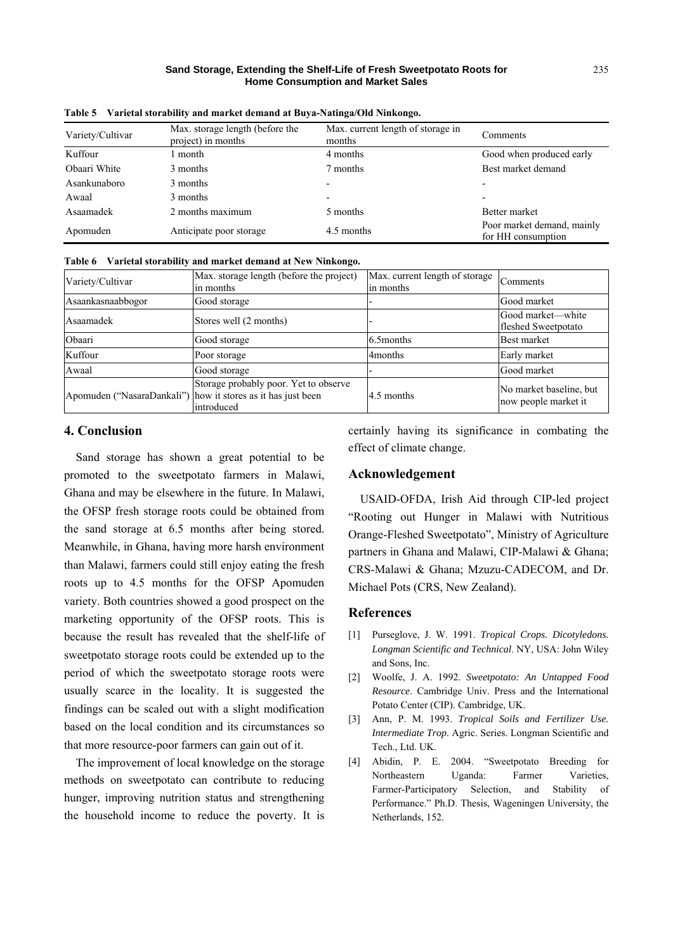| Variety/Cultivar | Max. storage length (before the<br>project) in months | Max. current length of storage in<br>months | Comments                                         |  |
|------------------|-------------------------------------------------------|---------------------------------------------|--------------------------------------------------|--|
| Kuffour          | month                                                 | 4 months                                    | Good when produced early                         |  |
| Obaari White     | 3 months                                              | 7 months                                    | Best market demand                               |  |
| Asankunaboro     | 3 months                                              |                                             |                                                  |  |
| Awaal            | 3 months                                              |                                             | $\overline{\phantom{0}}$                         |  |
| Asaamadek        | 2 months maximum                                      | 5 months                                    | Better market                                    |  |
| Apomuden         | Anticipate poor storage                               | 4.5 months                                  | Poor market demand, mainly<br>for HH consumption |  |

**Table 5 Varietal storability and market demand at Buya-Natinga/Old Ninkongo.** 

**Table 6 Varietal storability and market demand at New Ninkongo.** 

| Variety/Cultivar  | Max. storage length (before the project)<br>in months                                                               | Max. current length of storage<br>in months | Comments                                        |
|-------------------|---------------------------------------------------------------------------------------------------------------------|---------------------------------------------|-------------------------------------------------|
| Asaankasnaabbogor | Good storage                                                                                                        |                                             | Good market                                     |
| Asaamadek         | Stores well (2 months)                                                                                              |                                             | Good market-white<br>fleshed Sweetpotato        |
| Obaari            | Good storage                                                                                                        | 6.5 months                                  | Best market                                     |
| Kuffour           | Poor storage                                                                                                        | 4 <sub>months</sub>                         | Early market                                    |
| Awaal             | Good storage                                                                                                        |                                             | Good market                                     |
|                   | Storage probably poor. Yet to observe<br>Apomuden ("NasaraDankali") how it stores as it has just been<br>introduced | 4.5 months                                  | No market baseline, but<br>now people market it |

## **4. Conclusion**

Sand storage has shown a great potential to be promoted to the sweetpotato farmers in Malawi, Ghana and may be elsewhere in the future. In Malawi, the OFSP fresh storage roots could be obtained from the sand storage at 6.5 months after being stored. Meanwhile, in Ghana, having more harsh environment than Malawi, farmers could still enjoy eating the fresh roots up to 4.5 months for the OFSP Apomuden variety. Both countries showed a good prospect on the marketing opportunity of the OFSP roots. This is because the result has revealed that the shelf-life of sweetpotato storage roots could be extended up to the period of which the sweetpotato storage roots were usually scarce in the locality. It is suggested the findings can be scaled out with a slight modification based on the local condition and its circumstances so that more resource-poor farmers can gain out of it.

The improvement of local knowledge on the storage methods on sweetpotato can contribute to reducing hunger, improving nutrition status and strengthening the household income to reduce the poverty. It is certainly having its significance in combating the effect of climate change.

## **Acknowledgement**

USAID-OFDA, Irish Aid through CIP-led project "Rooting out Hunger in Malawi with Nutritious Orange-Fleshed Sweetpotato", Ministry of Agriculture partners in Ghana and Malawi, CIP-Malawi & Ghana; CRS-Malawi & Ghana; Mzuzu-CADECOM, and Dr. Michael Pots (CRS, New Zealand).

## **References**

- [1] Purseglove, J. W. 1991. *Tropical Crops. Dicotyledons. Longman Scientific and Technical*. NY, USA: John Wiley and Sons, Inc.
- [2] Woolfe, J. A. 1992. *Sweetpotato: An Untapped Food Resource*. Cambridge Univ. Press and the International Potato Center (CIP). Cambridge, UK.
- [3] Ann, P. M. 1993. *Tropical Soils and Fertilizer Use. Intermediate Trop*. Agric. Series. Longman Scientific and Tech., Ltd. UK.
- [4] Abidin, P. E. 2004. "Sweetpotato Breeding for Northeastern Uganda: Farmer Varieties, Farmer-Participatory Selection, and Stability of Performance." Ph.D. Thesis, Wageningen University, the Netherlands, 152.